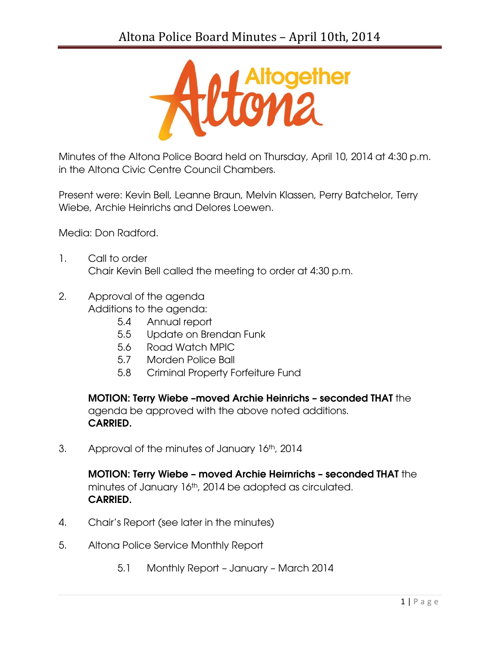

Minutes of the Altona Police Board held on Thursday, April 10, 2014 at 4:30 p.m. in the Altona Civic Centre Council Chambers.

Present were: Kevin Bell, Leanne Braun, Melvin Klassen, Perry Batchelor, Terry Wiebe, Archie Heinrichs and Delores Loewen.

Media: Don Radford.

- 1. Call to order Chair Kevin Bell called the meeting to order at 4:30 p.m.
- 2. Approval of the agenda Additions to the agenda:
	- 5.4 Annual report
	- 5.5 Update on Brendan Funk
	- 5.6 Road Watch MPIC
	- 5.7 Morden Police Ball
	- 5.8 Criminal Property Forfeiture Fund

MOTION: Terry Wiebe –moved Archie Heinrichs – seconded THAT the agenda be approved with the above noted additions. CARRIED.

3. Approval of the minutes of January 16th, 2014

MOTION: Terry Wiebe – moved Archie Heirnrichs – seconded THAT the minutes of January 16th, 2014 be adopted as circulated. CARRIED.

- 4. Chair's Report (see later in the minutes)
- 5. Altona Police Service Monthly Report
	- 5.1 Monthly Report January March 2014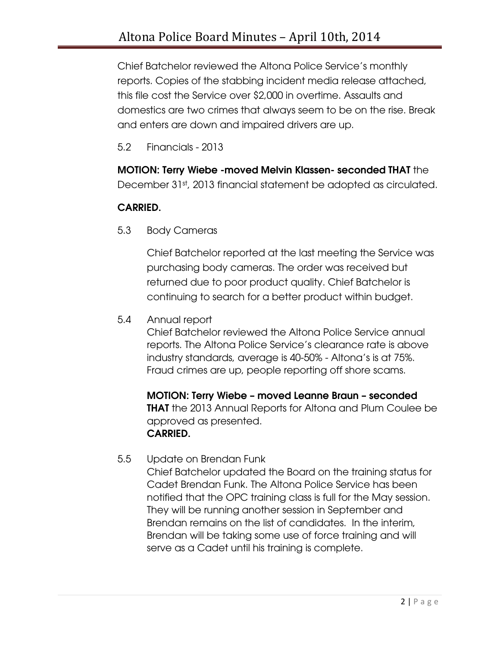Chief Batchelor reviewed the Altona Police Service's monthly reports. Copies of the stabbing incident media release attached, this file cost the Service over \$2,000 in overtime. Assaults and domestics are two crimes that always seem to be on the rise. Break and enters are down and impaired drivers are up.

5.2 Financials - 2013

## MOTION: Terry Wiebe -moved Melvin Klassen- seconded THAT the

December 31st, 2013 financial statement be adopted as circulated.

## CARRIED.

5.3 Body Cameras

Chief Batchelor reported at the last meeting the Service was purchasing body cameras. The order was received but returned due to poor product quality. Chief Batchelor is continuing to search for a better product within budget.

5.4 Annual report

Chief Batchelor reviewed the Altona Police Service annual reports. The Altona Police Service's clearance rate is above industry standards, average is 40-50% - Altona's is at 75%. Fraud crimes are up, people reporting off shore scams.

MOTION: Terry Wiebe – moved Leanne Braun – seconded **THAT** the 2013 Annual Reports for Altona and Plum Coulee be approved as presented. CARRIED.

5.5 Update on Brendan Funk

Chief Batchelor updated the Board on the training status for Cadet Brendan Funk. The Altona Police Service has been notified that the OPC training class is full for the May session. They will be running another session in September and Brendan remains on the list of candidates. In the interim, Brendan will be taking some use of force training and will serve as a Cadet until his training is complete.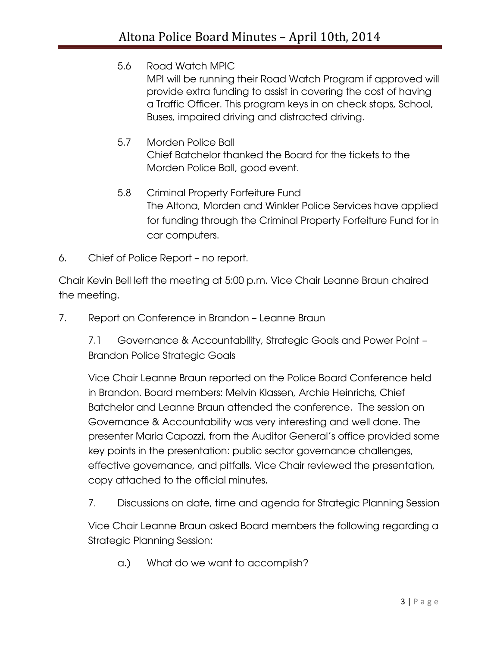- 5.6 Road Watch MPIC MPI will be running their Road Watch Program if approved will provide extra funding to assist in covering the cost of having a Traffic Officer. This program keys in on check stops, School, Buses, impaired driving and distracted driving.
- 5.7 Morden Police Ball Chief Batchelor thanked the Board for the tickets to the Morden Police Ball, good event.
- 5.8 Criminal Property Forfeiture Fund The Altona, Morden and Winkler Police Services have applied for funding through the Criminal Property Forfeiture Fund for in car computers.
- 6. Chief of Police Report no report.

Chair Kevin Bell left the meeting at 5:00 p.m. Vice Chair Leanne Braun chaired the meeting.

7. Report on Conference in Brandon – Leanne Braun

7.1 Governance & Accountability, Strategic Goals and Power Point – Brandon Police Strategic Goals

Vice Chair Leanne Braun reported on the Police Board Conference held in Brandon. Board members: Melvin Klassen, Archie Heinrichs, Chief Batchelor and Leanne Braun attended the conference. The session on Governance & Accountability was very interesting and well done. The presenter Maria Capozzi, from the Auditor General's office provided some key points in the presentation: public sector governance challenges, effective governance, and pitfalls. Vice Chair reviewed the presentation, copy attached to the official minutes.

7. Discussions on date, time and agenda for Strategic Planning Session

Vice Chair Leanne Braun asked Board members the following regarding a Strategic Planning Session:

a.) What do we want to accomplish?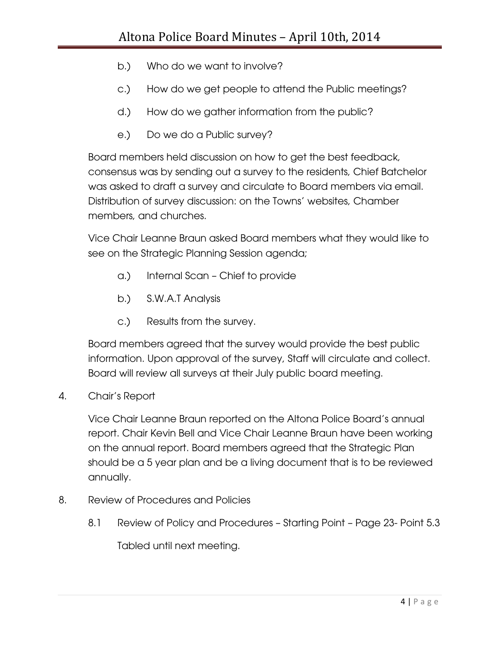- b.) Who do we want to involve?
- c.) How do we get people to attend the Public meetings?
- d.) How do we gather information from the public?
- e.) Do we do a Public survey?

Board members held discussion on how to get the best feedback, consensus was by sending out a survey to the residents, Chief Batchelor was asked to draft a survey and circulate to Board members via email. Distribution of survey discussion: on the Towns' websites, Chamber members, and churches.

Vice Chair Leanne Braun asked Board members what they would like to see on the Strategic Planning Session agenda;

- a.) Internal Scan Chief to provide
- b.) S.W.A.T Analysis
- c.) Results from the survey.

Board members agreed that the survey would provide the best public information. Upon approval of the survey, Staff will circulate and collect. Board will review all surveys at their July public board meeting.

4. Chair's Report

Vice Chair Leanne Braun reported on the Altona Police Board's annual report. Chair Kevin Bell and Vice Chair Leanne Braun have been working on the annual report. Board members agreed that the Strategic Plan should be a 5 year plan and be a living document that is to be reviewed annually.

- 8. Review of Procedures and Policies
	- 8.1 Review of Policy and Procedures Starting Point Page 23- Point 5.3 Tabled until next meeting.